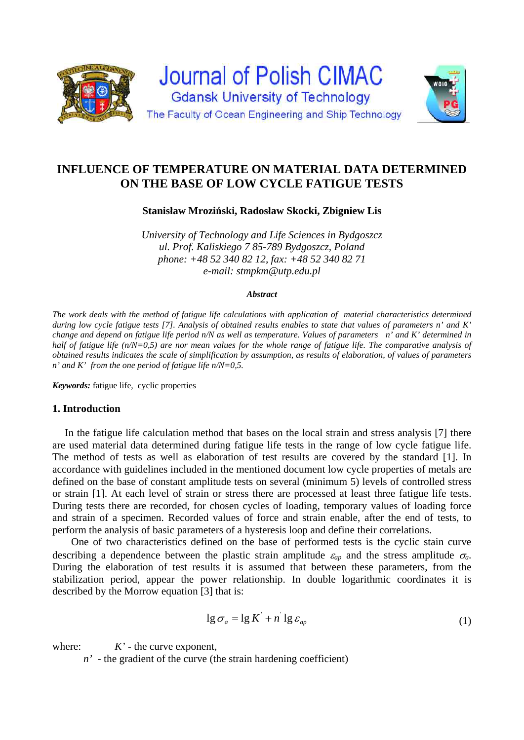

# **INFLUENCE OF TEMPERATURE ON MATERIAL DATA DETERMINED ON THE BASE OF LOW CYCLE FATIGUE TESTS**

**Stanisław Mroziński, Radosław Skocki, Zbigniew Lis** 

*University of Technology and Life Sciences in Bydgoszcz ul. Prof. Kaliskiego 7 85-789 Bydgoszcz, Poland phone: +48 52 340 82 12, fax: +48 52 340 82 71 e-mail: stmpkm@utp.edu.pl* 

### *Abstract*

*The work deals with the method of fatigue life calculations with application of material characteristics determined during low cycle fatigue tests [7]. Analysis of obtained results enables to state that values of parameters n' and K' change and depend on fatigue life period n/N as well as temperature. Values of parameters n' and K' determined in half of fatigue life (n/N=0,5) are nor mean values for the whole range of fatigue life. The comparative analysis of obtained results indicates the scale of simplification by assumption, as results of elaboration, of values of parameters n' and K' from the one period of fatigue life n/N=0,5.* 

*Keywords:* fatigue life, cyclic properties

# **1. Introduction**

In the fatigue life calculation method that bases on the local strain and stress analysis [7] there are used material data determined during fatigue life tests in the range of low cycle fatigue life. The method of tests as well as elaboration of test results are covered by the standard [1]. In accordance with guidelines included in the mentioned document low cycle properties of metals are defined on the base of constant amplitude tests on several (minimum 5) levels of controlled stress or strain [1]. At each level of strain or stress there are processed at least three fatigue life tests. During tests there are recorded, for chosen cycles of loading, temporary values of loading force and strain of a specimen. Recorded values of force and strain enable, after the end of tests, to perform the analysis of basic parameters of a hysteresis loop and define their correlations.

One of two characteristics defined on the base of performed tests is the cyclic stain curve describing a dependence between the plastic strain amplitude  $\varepsilon_{ap}$  and the stress amplitude  $\sigma_{a}$ . During the elaboration of test results it is assumed that between these parameters, from the stabilization period, appear the power relationship. In double logarithmic coordinates it is described by the Morrow equation [3] that is:

$$
\lg \sigma_a = \lg K' + n' \lg \varepsilon_{ap} \tag{1}
$$

where:  $K'$  - the curve exponent,

*n'* - the gradient of the curve (the strain hardening coefficient)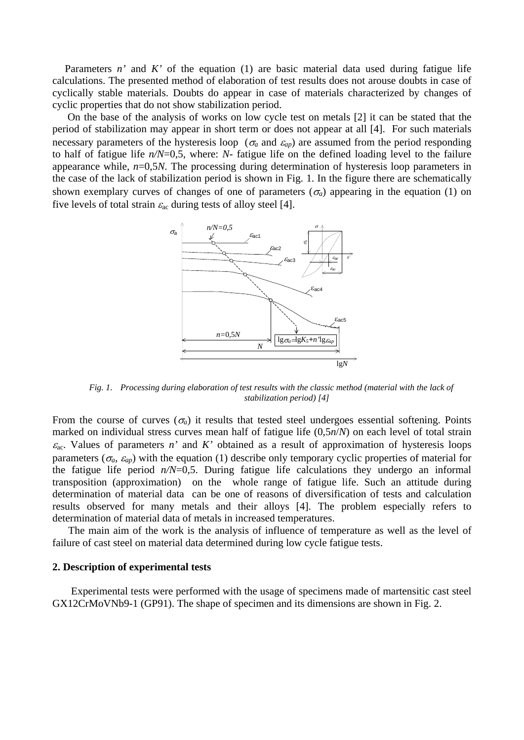Parameters *n'* and *K'* of the equation (1) are basic material data used during fatigue life calculations. The presented method of elaboration of test results does not arouse doubts in case of cyclically stable materials. Doubts do appear in case of materials characterized by changes of cyclic properties that do not show stabilization period.

 On the base of the analysis of works on low cycle test on metals [2] it can be stated that the period of stabilization may appear in short term or does not appear at all [4]. For such materials necessary parameters of the hysteresis loop ( $\sigma_a$  and  $\varepsilon_{ap}$ ) are assumed from the period responding to half of fatigue life *n/N*=0,5, where: *N-* fatigue life on the defined loading level to the failure appearance while, *n*=0,5*N*. The processing during determination of hysteresis loop parameters in the case of the lack of stabilization period is shown in Fig. 1. In the figure there are schematically shown exemplary curves of changes of one of parameters  $(\sigma_a)$  appearing in the equation (1) on five levels of total strain  $\varepsilon_{ac}$  during tests of alloy steel [4].



*Fig. 1. Processing during elaboration of test results with the classic method (material with the lack of stabilization period) [4]* 

From the course of curves  $(\sigma_a)$  it results that tested steel undergoes essential softening. Points marked on individual stress curves mean half of fatigue life (0,5*n*/*N*) on each level of total strain  $\varepsilon_{ac}$ . Values of parameters *n'* and *K'* obtained as a result of approximation of hysteresis loops parameters ( $\sigma_a$ ,  $\varepsilon_{ap}$ ) with the equation (1) describe only temporary cyclic properties of material for the fatigue life period  $n/N=0.5$ . During fatigue life calculations they undergo an informal transposition (approximation) on the whole range of fatigue life. Such an attitude during determination of material data can be one of reasons of diversification of tests and calculation results observed for many metals and their alloys [4]. The problem especially refers to determination of material data of metals in increased temperatures.

The main aim of the work is the analysis of influence of temperature as well as the level of failure of cast steel on material data determined during low cycle fatigue tests.

### **2. Description of experimental tests**

Experimental tests were performed with the usage of specimens made of martensitic cast steel GX12CrMoVNb9-1 (GP91). The shape of specimen and its dimensions are shown in Fig. 2.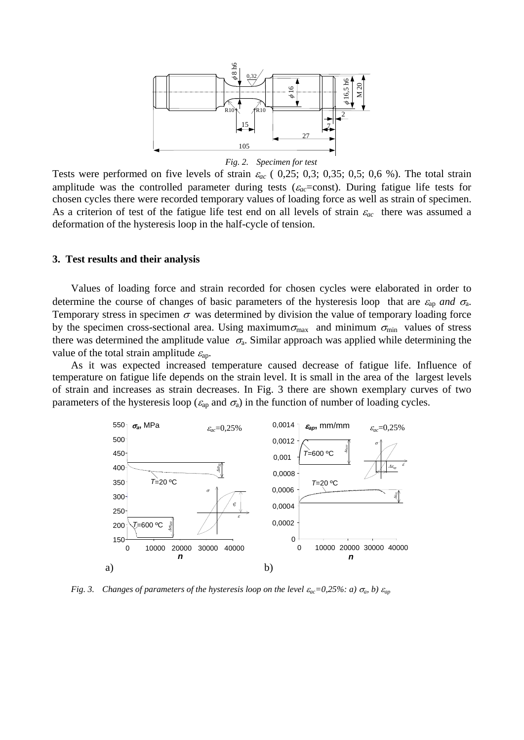

#### *Fig. 2. Specimen for test*

Tests were performed on five levels of strain  $\varepsilon_{ac}$  (0,25; 0,3; 0,35; 0,5; 0,6 %). The total strain amplitude was the controlled parameter during tests ( $\varepsilon_{ac}$ =const). During fatigue life tests for chosen cycles there were recorded temporary values of loading force as well as strain of specimen. As a criterion of test of the fatigue life test end on all levels of strain  $\varepsilon_{ac}$  there was assumed a deformation of the hysteresis loop in the half-cycle of tension.

### **3. Test results and their analysis**

Values of loading force and strain recorded for chosen cycles were elaborated in order to determine the course of changes of basic parameters of the hysteresis loop that are  $\varepsilon_{ap}$  and  $\sigma_{a}$ . Temporary stress in specimen  $\sigma$  was determined by division the value of temporary loading force by the specimen cross-sectional area. Using maximum $\sigma_{\text{max}}$  and minimum  $\sigma_{\text{min}}$  values of stress there was determined the amplitude value  $\sigma_a$ . Similar approach was applied while determining the value of the total strain amplitude  $\varepsilon_{ap}$ .

As it was expected increased temperature caused decrease of fatigue life. Influence of temperature on fatigue life depends on the strain level. It is small in the area of the largest levels of strain and increases as strain decreases. In Fig. 3 there are shown exemplary curves of two parameters of the hysteresis loop ( $\varepsilon_{ap}$  and  $\sigma_{a}$ ) in the function of number of loading cycles.



*Fig. 3. Changes of parameters of the hysteresis loop on the level*  $\varepsilon_{ac} = 0.25\%$ *: a)*  $\sigma_a$ , *b)*  $\varepsilon_{ap}$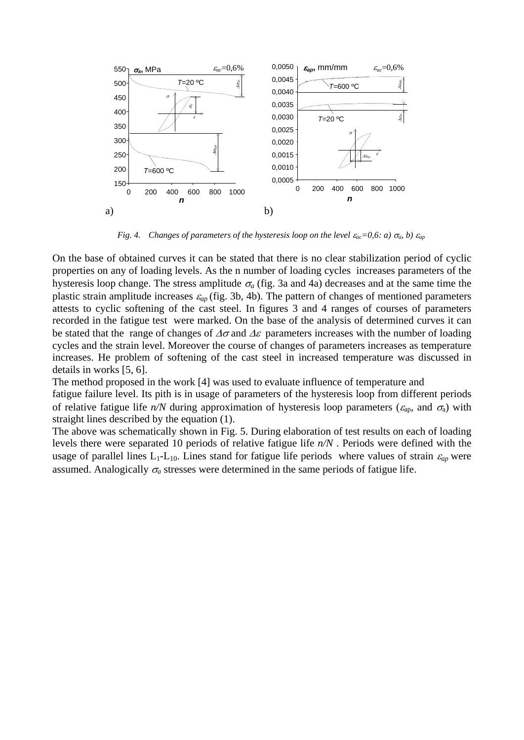

*Fig. 4. Changes of parameters of the hysteresis loop on the level*  $\varepsilon_{ac} = 0.6$ *: a)*  $\sigma_a$ , *b)*  $\varepsilon_{ap}$ 

On the base of obtained curves it can be stated that there is no clear stabilization period of cyclic properties on any of loading levels. As the n number of loading cycles increases parameters of the hysteresis loop change. The stress amplitude  $\sigma_a$  (fig. 3a and 4a) decreases and at the same time the plastic strain amplitude increases  $\varepsilon_{ap}$  (fig. 3b, 4b). The pattern of changes of mentioned parameters attests to cyclic softening of the cast steel. In figures 3 and 4 ranges of courses of parameters recorded in the fatigue test were marked. On the base of the analysis of determined curves it can be stated that the range of changes of  $\Delta\sigma$  and  $\Delta\varepsilon$  parameters increases with the number of loading cycles and the strain level. Moreover the course of changes of parameters increases as temperature increases. He problem of softening of the cast steel in increased temperature was discussed in details in works [5, 6].

The method proposed in the work [4] was used to evaluate influence of temperature and fatigue failure level. Its pith is in usage of parameters of the hysteresis loop from different periods of relative fatigue life  $n/N$  during approximation of hysteresis loop parameters ( $\varepsilon_{ap}$ , and  $\sigma_{a}$ ) with straight lines described by the equation (1).

The above was schematically shown in Fig. 5. During elaboration of test results on each of loading levels there were separated 10 periods of relative fatigue life *n/N* . Periods were defined with the usage of parallel lines  $L_1$ - $L_{10}$ . Lines stand for fatigue life periods where values of strain  $\varepsilon_{ap}$  were assumed. Analogically  $\sigma_a$  stresses were determined in the same periods of fatigue life.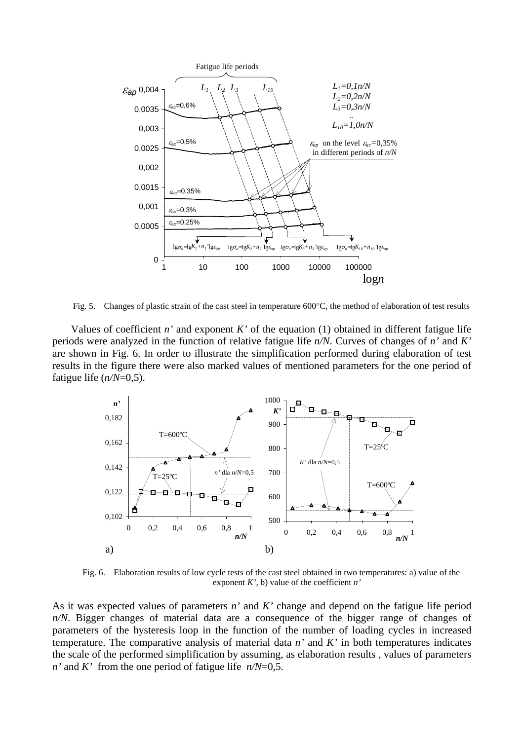

Fig. 5. Changes of plastic strain of the cast steel in temperature  $600^{\circ}$ C, the method of elaboration of test results

Values of coefficient  $n'$  and exponent  $K'$  of the equation (1) obtained in different fatigue life periods were analyzed in the function of relative fatigue life *n/N*. Curves of changes of *n'* and *K'* are shown in Fig. 6. In order to illustrate the simplification performed during elaboration of test results in the figure there were also marked values of mentioned parameters for the one period of fatigue life  $(n/N=0.5)$ .



Fig. 6. Elaboration results of low cycle tests of the cast steel obtained in two temperatures: a) value of the exponent *K'*, b) value of the coefficient *n'*

As it was expected values of parameters *n'* and *K'* change and depend on the fatigue life period *n/N*. Bigger changes of material data are a consequence of the bigger range of changes of parameters of the hysteresis loop in the function of the number of loading cycles in increased temperature. The comparative analysis of material data *n'* and *K'* in both temperatures indicates the scale of the performed simplification by assuming, as elaboration results , values of parameters *n'* and *K'* from the one period of fatigue life *n/N*=0,5.